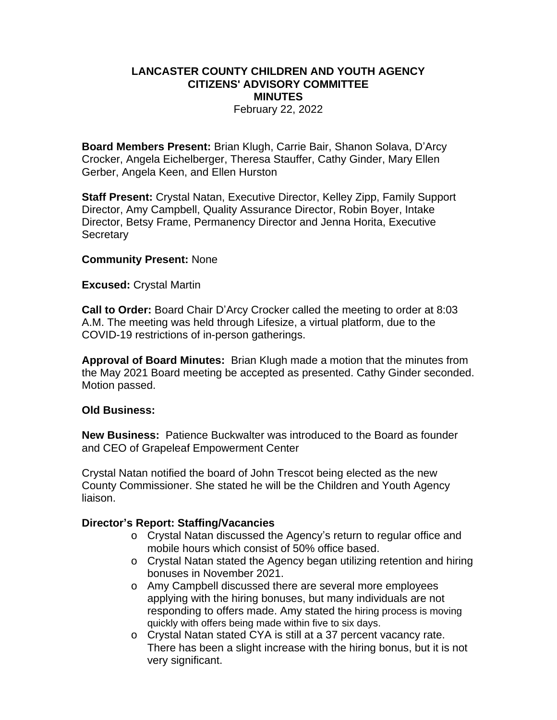# **LANCASTER COUNTY CHILDREN AND YOUTH AGENCY CITIZENS' ADVISORY COMMITTEE MINUTES**

February 22, 2022

**Board Members Present:** Brian Klugh, Carrie Bair, Shanon Solava, D'Arcy Crocker, Angela Eichelberger, Theresa Stauffer, Cathy Ginder, Mary Ellen Gerber, Angela Keen, and Ellen Hurston

**Staff Present:** Crystal Natan, Executive Director, Kelley Zipp, Family Support Director, Amy Campbell, Quality Assurance Director, Robin Boyer, Intake Director, Betsy Frame, Permanency Director and Jenna Horita, Executive **Secretary** 

#### **Community Present:** None

#### **Excused:** Crystal Martin

**Call to Order:** Board Chair D'Arcy Crocker called the meeting to order at 8:03 A.M. The meeting was held through Lifesize, a virtual platform, due to the COVID-19 restrictions of in-person gatherings.

**Approval of Board Minutes:** Brian Klugh made a motion that the minutes from the May 2021 Board meeting be accepted as presented. Cathy Ginder seconded. Motion passed.

# **Old Business:**

**New Business:** Patience Buckwalter was introduced to the Board as founder and CEO of Grapeleaf Empowerment Center

Crystal Natan notified the board of John Trescot being elected as the new County Commissioner. She stated he will be the Children and Youth Agency liaison.

# **Director's Report: Staffing/Vacancies**

- o Crystal Natan discussed the Agency's return to regular office and mobile hours which consist of 50% office based.
- o Crystal Natan stated the Agency began utilizing retention and hiring bonuses in November 2021.
- o Amy Campbell discussed there are several more employees applying with the hiring bonuses, but many individuals are not responding to offers made. Amy stated the hiring process is moving quickly with offers being made within five to six days.
- o Crystal Natan stated CYA is still at a 37 percent vacancy rate. There has been a slight increase with the hiring bonus, but it is not very significant.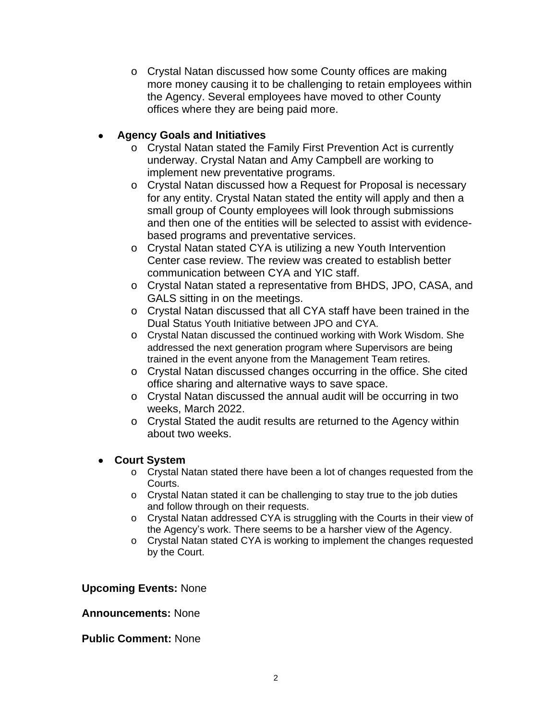o Crystal Natan discussed how some County offices are making more money causing it to be challenging to retain employees within the Agency. Several employees have moved to other County offices where they are being paid more.

# **Agency Goals and Initiatives**

- o Crystal Natan stated the Family First Prevention Act is currently underway. Crystal Natan and Amy Campbell are working to implement new preventative programs.
- o Crystal Natan discussed how a Request for Proposal is necessary for any entity. Crystal Natan stated the entity will apply and then a small group of County employees will look through submissions and then one of the entities will be selected to assist with evidencebased programs and preventative services.
- o Crystal Natan stated CYA is utilizing a new Youth Intervention Center case review. The review was created to establish better communication between CYA and YIC staff.
- o Crystal Natan stated a representative from BHDS, JPO, CASA, and GALS sitting in on the meetings.
- o Crystal Natan discussed that all CYA staff have been trained in the Dual Status Youth Initiative between JPO and CYA.
- o Crystal Natan discussed the continued working with Work Wisdom. She addressed the next generation program where Supervisors are being trained in the event anyone from the Management Team retires.
- o Crystal Natan discussed changes occurring in the office. She cited office sharing and alternative ways to save space.
- o Crystal Natan discussed the annual audit will be occurring in two weeks, March 2022.
- o Crystal Stated the audit results are returned to the Agency within about two weeks.

# **Court System**

- o Crystal Natan stated there have been a lot of changes requested from the Courts.
- o Crystal Natan stated it can be challenging to stay true to the job duties and follow through on their requests.
- o Crystal Natan addressed CYA is struggling with the Courts in their view of the Agency's work. There seems to be a harsher view of the Agency.
- o Crystal Natan stated CYA is working to implement the changes requested by the Court.

# **Upcoming Events:** None

# **Announcements:** None

# **Public Comment:** None